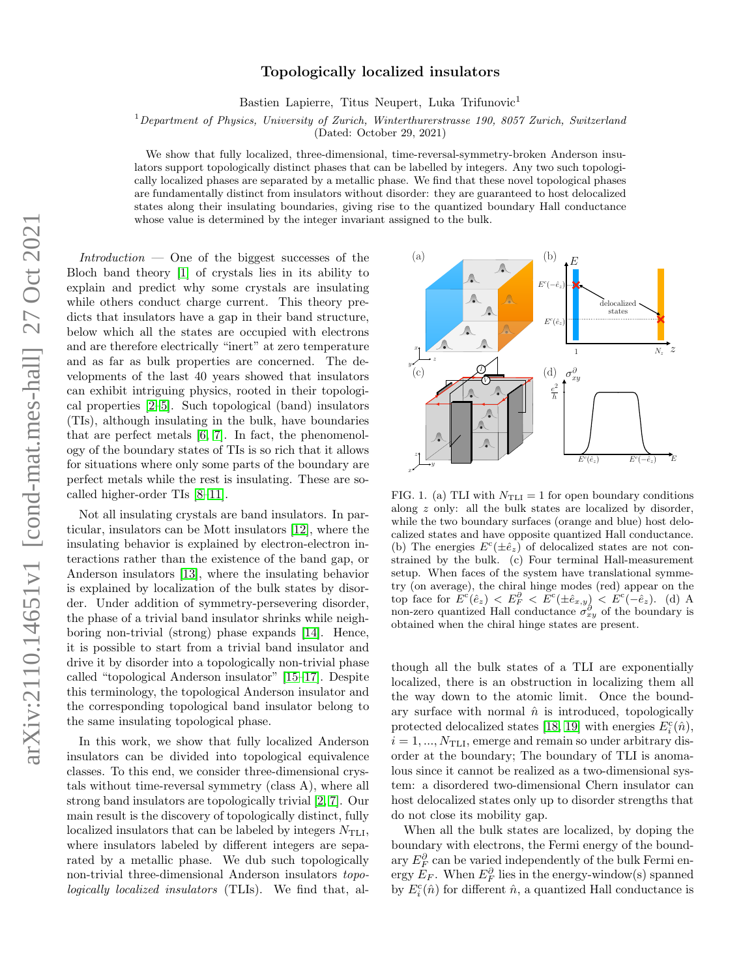# Topologically localized insulators

Bastien Lapierre, Titus Neupert, Luka Trifunovic<sup>1</sup>

 $1$  Department of Physics, University of Zurich, Winterthurerstrasse 190, 8057 Zurich, Switzerland

(Dated: October 29, 2021)

We show that fully localized, three-dimensional, time-reversal-symmetry-broken Anderson insulators support topologically distinct phases that can be labelled by integers. Any two such topologically localized phases are separated by a metallic phase. We find that these novel topological phases are fundamentally distinct from insulators without disorder: they are guaranteed to host delocalized states along their insulating boundaries, giving rise to the quantized boundary Hall conductance whose value is determined by the integer invariant assigned to the bulk.

 $Introduction$  — One of the biggest successes of the Bloch band theory [\[1\]](#page-4-0) of crystals lies in its ability to explain and predict why some crystals are insulating while others conduct charge current. This theory predicts that insulators have a gap in their band structure, below which all the states are occupied with electrons and are therefore electrically "inert" at zero temperature and as far as bulk properties are concerned. The developments of the last 40 years showed that insulators can exhibit intriguing physics, rooted in their topological properties [\[2](#page-4-1)[–5\]](#page-4-2). Such topological (band) insulators (TIs), although insulating in the bulk, have boundaries that are perfect metals [\[6,](#page-4-3) [7\]](#page-4-4). In fact, the phenomenology of the boundary states of TIs is so rich that it allows for situations where only some parts of the boundary are perfect metals while the rest is insulating. These are socalled higher-order TIs [\[8–](#page-4-5)[11\]](#page-4-6).

Not all insulating crystals are band insulators. In particular, insulators can be Mott insulators [\[12\]](#page-4-7), where the insulating behavior is explained by electron-electron interactions rather than the existence of the band gap, or Anderson insulators [\[13\]](#page-4-8), where the insulating behavior is explained by localization of the bulk states by disorder. Under addition of symmetry-persevering disorder, the phase of a trivial band insulator shrinks while neighboring non-trivial (strong) phase expands [\[14\]](#page-4-9). Hence, it is possible to start from a trivial band insulator and drive it by disorder into a topologically non-trivial phase called "topological Anderson insulator" [\[15–](#page-4-10)[17\]](#page-4-11). Despite this terminology, the topological Anderson insulator and the corresponding topological band insulator belong to the same insulating topological phase.

In this work, we show that fully localized Anderson insulators can be divided into topological equivalence classes. To this end, we consider three-dimensional crystals without time-reversal symmetry (class A), where all strong band insulators are topologically trivial [\[2,](#page-4-1) [7\]](#page-4-4). Our main result is the discovery of topologically distinct, fully localized insulators that can be labeled by integers  $N<sub>TLI</sub>$ , where insulators labeled by different integers are separated by a metallic phase. We dub such topologically non-trivial three-dimensional Anderson insulators topologically localized insulators (TLIs). We find that, al-



<span id="page-0-0"></span>FIG. 1. (a) TLI with  $N_{\text{TLI}} = 1$  for open boundary conditions along z only: all the bulk states are localized by disorder, while the two boundary surfaces (orange and blue) host delocalized states and have opposite quantized Hall conductance. (b) The energies  $E^c(\pm \hat{e}_z)$  of delocalized states are not constrained by the bulk. (c) Four terminal Hall-measurement setup. When faces of the system have translational symmetry (on average), the chiral hinge modes (red) appear on the top face for  $E^c(\hat{e}_z) < E_F^{\partial} < E^c(\pm \hat{e}_{x,y}) < E^c(-\hat{e}_z)$ . (d) A non-zero quantized Hall conductance  $\sigma_{xy}^{\partial}$  of the boundary is obtained when the chiral hinge states are present.

though all the bulk states of a TLI are exponentially localized, there is an obstruction in localizing them all the way down to the atomic limit. Once the boundary surface with normal  $\hat{n}$  is introduced, topologically protected delocalized states [\[18,](#page-4-12) [19\]](#page-4-13) with energies  $E_i^c(\hat{n})$ ,  $i = 1, ..., N<sub>TLI</sub>$ , emerge and remain so under arbitrary disorder at the boundary; The boundary of TLI is anomalous since it cannot be realized as a two-dimensional system: a disordered two-dimensional Chern insulator can host delocalized states only up to disorder strengths that do not close its mobility gap.

When all the bulk states are localized, by doping the boundary with electrons, the Fermi energy of the boundary  $E_F^{\partial}$  can be varied independently of the bulk Fermi energy  $E_F$ . When  $E_F^{\partial}$  lies in the energy-window(s) spanned by  $E_i^{\rm c}(\hat{n})$  for different  $\hat{n}$ , a quantized Hall conductance is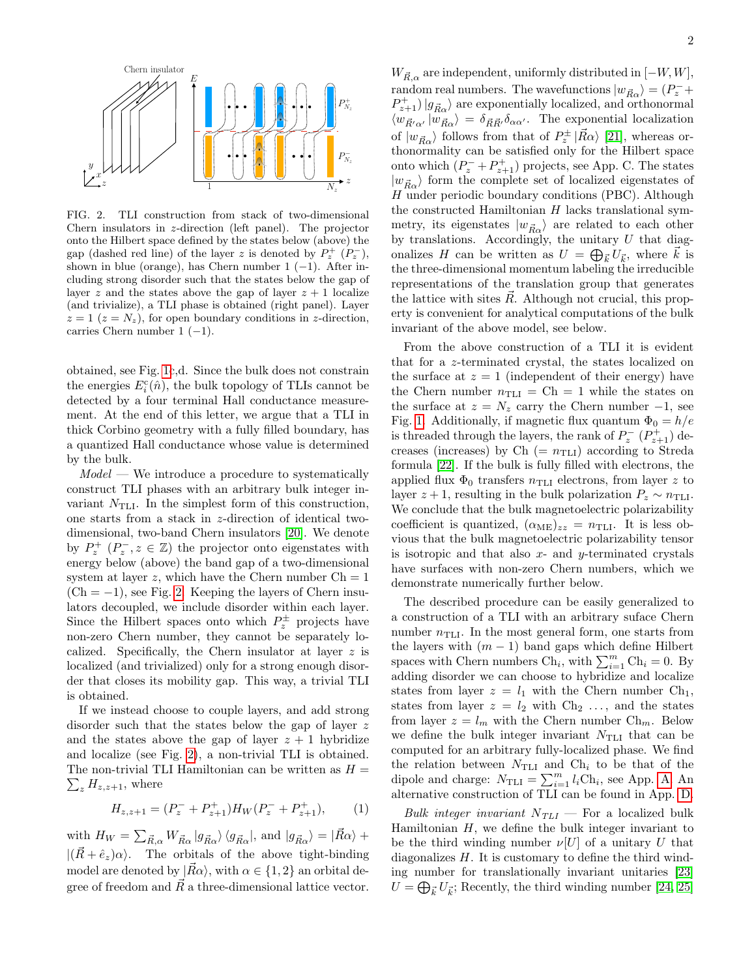

<span id="page-1-0"></span>FIG. 2. TLI construction from stack of two-dimensional Chern insulators in z-direction (left panel). The projector onto the Hilbert space defined by the states below (above) the gap (dashed red line) of the layer z is denoted by  $P_z^+$   $(P_z^-)$ , shown in blue (orange), has Chern number  $1$  (−1). After including strong disorder such that the states below the gap of layer z and the states above the gap of layer  $z + 1$  localize (and trivialize), a TLI phase is obtained (right panel). Layer  $z = 1$  ( $z = N_z$ ), for open boundary conditions in z-direction, carries Chern number  $1$  (−1).

obtained, see Fig. [1c](#page-0-0),d. Since the bulk does not constrain the energies  $E_i^c(\hat{n})$ , the bulk topology of TLIs cannot be detected by a four terminal Hall conductance measurement. At the end of this letter, we argue that a TLI in thick Corbino geometry with a fully filled boundary, has a quantized Hall conductance whose value is determined by the bulk.

 $Model$  — We introduce a procedure to systematically construct TLI phases with an arbitrary bulk integer invariant  $N_{\text{TLI}}$ . In the simplest form of this construction, one starts from a stack in z-direction of identical twodimensional, two-band Chern insulators [\[20\]](#page-4-14). We denote by  $P_z^+$   $(P_z^-, z \in \mathbb{Z})$  the projector onto eigenstates with energy below (above) the band gap of a two-dimensional system at layer z, which have the Chern number  $Ch = 1$  $(Ch = -1)$ , see Fig. [2.](#page-1-0) Keeping the layers of Chern insulators decoupled, we include disorder within each layer. Since the Hilbert spaces onto which  $P_z^{\pm}$  projects have non-zero Chern number, they cannot be separately localized. Specifically, the Chern insulator at layer z is localized (and trivialized) only for a strong enough disorder that closes its mobility gap. This way, a trivial TLI is obtained.

If we instead choose to couple layers, and add strong disorder such that the states below the gap of layer z and the states above the gap of layer  $z + 1$  hybridize and localize (see Fig. [2\)](#page-1-0), a non-trivial TLI is obtained.  $\sum_{z} H_{z,z+1}$ , where The non-trivial TLI Hamiltonian can be written as  $H =$ 

<span id="page-1-1"></span>
$$
H_{z,z+1} = (P_z^- + P_{z+1}^+) H_W (P_z^- + P_{z+1}^+), \tag{1}
$$

with  $H_W = \sum_{\vec{R},\alpha} W_{\vec{R}\alpha} |g_{\vec{R}\alpha}\rangle \langle g_{\vec{R}\alpha}|$ , and  $|g_{\vec{R}\alpha}\rangle = |\vec{R}\alpha\rangle +$  $|(\vec{R} + \hat{e}_z)\alpha\rangle$ . The orbitals of the above tight-binding model are denoted by  $|\vec{R}\alpha\rangle$ , with  $\alpha \in \{1,2\}$  an orbital degree of freedom and  $\vec{R}$  a three-dimensional lattice vector.

 $W_{\vec{R},\alpha}$  are independent, uniformly distributed in  $[-W, W]$ , random real numbers. The wavefunctions  $|w_{\vec{R}\alpha}\rangle = (P_z^- +$  $P_{z+1}^{+}$  |  $g_{\vec{R}\alpha}$  are exponentially localized, and orthonormal  $\langle w_{\vec{R}'\alpha'} | w_{\vec{R}\alpha} \rangle = \delta_{\vec{R}\vec{R}'} \delta_{\alpha\alpha'}$ . The exponential localization of  $|w_{\vec{R}\alpha}\rangle$  follows from that of  $P_z^{\pm}|\vec{R}\alpha\rangle$  [\[21\]](#page-4-15), whereas orthonormality can be satisfied only for the Hilbert space onto which  $(P_z^- + P_{z+1}^+)$  projects, see App. C. The states  $|w_{\vec{R}_{\alpha}}\rangle$  form the complete set of localized eigenstates of H under periodic boundary conditions (PBC). Although the constructed Hamiltonian  $H$  lacks translational symmetry, its eigenstates  $|w_{\vec{R}\alpha}\rangle$  are related to each other by translations. Accordingly, the unitary U that diagonalizes H can be written as  $U = \bigoplus_{\vec{k}} U_{\vec{k}}$ , where  $\vec{k}$  is the three-dimensional momentum labeling the irreducible representations of the translation group that generates the lattice with sites  $\vec{R}$ . Although not crucial, this property is convenient for analytical computations of the bulk invariant of the above model, see below.

From the above construction of a TLI it is evident that for a z-terminated crystal, the states localized on the surface at  $z = 1$  (independent of their energy) have the Chern number  $n_{\text{TLI}} = \text{Ch} = 1$  while the states on the surface at  $z = N_z$  carry the Chern number  $-1$ , see Fig. [1.](#page-0-0) Additionally, if magnetic flux quantum  $\Phi_0 = h/e$ is threaded through the layers, the rank of  $P_z^ (P_{z+1}^+)$  decreases (increases) by Ch  $(= n_{\text{TLI}})$  according to Streda formula [\[22\]](#page-4-16). If the bulk is fully filled with electrons, the applied flux  $\Phi_0$  transfers  $n_{\text{TLI}}$  electrons, from layer z to layer  $z + 1$ , resulting in the bulk polarization  $P_z \sim n_{\text{TLI}}$ . We conclude that the bulk magnetoelectric polarizability coefficient is quantized,  $(\alpha_{\text{ME}})_{zz} = n_{\text{TLI}}$ . It is less obvious that the bulk magnetoelectric polarizability tensor is isotropic and that also  $x$ - and  $y$ -terminated crystals have surfaces with non-zero Chern numbers, which we demonstrate numerically further below.

The described procedure can be easily generalized to a construction of a TLI with an arbitrary suface Chern number  $n_{\text{TLI}}$ . In the most general form, one starts from the layers with  $(m - 1)$  band gaps which define Hilbert spaces with Chern numbers  $\mathrm{Ch}_i$ , with  $\sum_{i=1}^m \mathrm{Ch}_i = 0$ . By adding disorder we can choose to hybridize and localize states from layer  $z = l_1$  with the Chern number Ch<sub>1</sub>, states from layer  $z = l_2$  with  $Ch_2 \ldots$ , and the states from layer  $z = l_m$  with the Chern number Ch<sub>m</sub>. Below we define the bulk integer invariant  $N<sub>TLI</sub>$  that can be computed for an arbitrary fully-localized phase. We find the relation between  $N_{\text{TLI}}$  and  $\text{Ch}_i$  to be that of the dipole and charge:  $N_{\text{TLI}} = \sum_{i=1}^{m} l_i \text{Ch}_i$ , see App. [A.](#page-5-0) An alternative construction of TLI can be found in App. [D.](#page-9-0)

Bulk integer invariant  $N_{TLI}$  – For a localized bulk Hamiltonian  $H$ , we define the bulk integer invariant to be the third winding number  $\nu[U]$  of a unitary U that diagonalizes  $H$ . It is customary to define the third winding number for translationally invariant unitaries [\[23\]](#page-4-17)  $U = \bigoplus_{\vec{k}} U_{\vec{k}}$ ; Recently, the third winding number [\[24,](#page-4-18) [25\]](#page-4-19)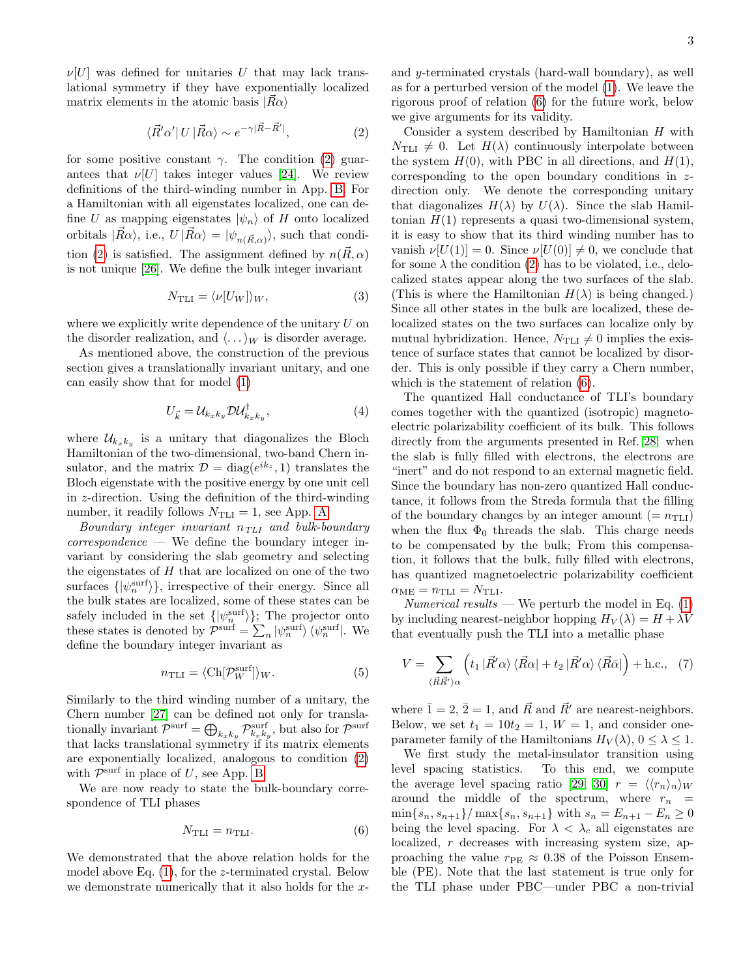$$
\langle \vec{R}' \alpha' | U | \vec{R} \alpha \rangle \sim e^{-\gamma |\vec{R} - \vec{R}'|}, \tag{2}
$$

for some positive constant  $\gamma$ . The condition [\(2\)](#page-2-0) guarantees that  $\nu[U]$  takes integer values [\[24\]](#page-4-18). We review definitions of the third-winding number in App. [B.](#page-6-0) For a Hamiltonian with all eigenstates localized, one can define U as mapping eigenstates  $|\psi_n\rangle$  of H onto localized orbitals  $|\vec{R}\alpha\rangle$ , i.e.,  $U|\vec{R}\alpha\rangle = |\psi_{n(\vec{R},\alpha)}\rangle$ , such that condi-tion [\(2\)](#page-2-0) is satisfied. The assignment defined by  $n(R, \alpha)$ is not unique [\[26\]](#page-4-20). We define the bulk integer invariant

matrix elements in the atomic basis  $|R\alpha\rangle$ 

$$
N_{\text{TLI}} = \langle \nu[U_W] \rangle_W,\tag{3}
$$

where we explicitly write dependence of the unitary  $U$  on the disorder realization, and  $\langle \ldots \rangle_W$  is disorder average.

As mentioned above, the construction of the previous section gives a translationally invariant unitary, and one can easily show that for model [\(1\)](#page-1-1)

$$
U_{\vec{k}} = \mathcal{U}_{k_x k_y} \mathcal{D} \mathcal{U}_{k_x k_y}^{\dagger},\tag{4}
$$

where  $\mathcal{U}_{k_x k_y}$  is a unitary that diagonalizes the Bloch Hamiltonian of the two-dimensional, two-band Chern insulator, and the matrix  $\mathcal{D} = \text{diag}(e^{ik_z}, 1)$  translates the Bloch eigenstate with the positive energy by one unit cell in z-direction. Using the definition of the third-winding number, it readily follows  $N_{\text{TLI}} = 1$ , see App. [A.](#page-5-0)

Boundary integer invariant  $n_{TLI}$  and bulk-boundary  $correspondence$  — We define the boundary integer invariant by considering the slab geometry and selecting the eigenstates of  $H$  that are localized on one of the two surfaces  $\{|\psi_n^{\text{surf}}\rangle\}$ , irrespective of their energy. Since all the bulk states are localized, some of these states can be safely included in the set  $\{|\psi_n^{\text{surf}}\rangle\}$ ; The projector onto these states is denoted by  $\mathcal{P}^{\text{surf}} = \sum_n |\psi_n^{\text{surf}}\rangle \langle \psi_n^{\text{surf}}|$ . We define the boundary integer invariant as

$$
n_{\text{TLI}} = \langle \text{Ch}[\mathcal{P}_W^{\text{surf}}] \rangle_W. \tag{5}
$$

Similarly to the third winding number of a unitary, the Chern number [\[27\]](#page-4-21) can be defined not only for translationally invariant  $\mathcal{P}^{\text{surf}} = \bigoplus_{k_x k_y} \mathcal{P}^{\text{surf}}_{k_x k_y}$ , but also for  $\mathcal{P}^{\text{surf}}$ that lacks translational symmetry if its matrix elements are exponentially localized, analogous to condition [\(2\)](#page-2-0) with  $\mathcal{P}^{\text{surf}}$  in place of U, see App. [B.](#page-6-0)

We are now ready to state the bulk-boundary correspondence of TLI phases

$$
N_{\text{TLI}} = n_{\text{TLI}}.\tag{6}
$$

We demonstrated that the above relation holds for the model above Eq. [\(1\)](#page-1-1), for the z-terminated crystal. Below we demonstrate numerically that it also holds for the xand y-terminated crystals (hard-wall boundary), as well as for a perturbed version of the model [\(1\)](#page-1-1). We leave the rigorous proof of relation [\(6\)](#page-2-1) for the future work, below we give arguments for its validity.

<span id="page-2-0"></span>Consider a system described by Hamiltonian  $H$  with  $N_{\text{TLI}} \neq 0$ . Let  $H(\lambda)$  continuously interpolate between the system  $H(0)$ , with PBC in all directions, and  $H(1)$ , corresponding to the open boundary conditions in  $z$ direction only. We denote the corresponding unitary that diagonalizes  $H(\lambda)$  by  $U(\lambda)$ . Since the slab Hamiltonian  $H(1)$  represents a quasi two-dimensional system, it is easy to show that its third winding number has to vanish  $\nu[U(1)] = 0$ . Since  $\nu[U(0)] \neq 0$ , we conclude that for some  $\lambda$  the condition [\(2\)](#page-2-0) has to be violated, i.e., delocalized states appear along the two surfaces of the slab. (This is where the Hamiltonian  $H(\lambda)$  is being changed.) Since all other states in the bulk are localized, these delocalized states on the two surfaces can localize only by mutual hybridization. Hence,  $N_{\text{TLI}} \neq 0$  implies the existence of surface states that cannot be localized by disorder. This is only possible if they carry a Chern number, which is the statement of relation [\(6\)](#page-2-1).

<span id="page-2-3"></span><span id="page-2-2"></span>The quantized Hall conductance of TLI's boundary comes together with the quantized (isotropic) magnetoelectric polarizability coefficient of its bulk. This follows directly from the arguments presented in Ref. [28:](#page-4-22) when the slab is fully filled with electrons, the electrons are "inert" and do not respond to an external magnetic field. Since the boundary has non-zero quantized Hall conductance, it follows from the Streda formula that the filling of the boundary changes by an integer amount  $(= n_{TLI})$ when the flux  $\Phi_0$  threads the slab. This charge needs to be compensated by the bulk; From this compensation, it follows that the bulk, fully filled with electrons, has quantized magnetoelectric polarizability coefficient  $\alpha_{\text{ME}} = n_{\text{TLI}} = N_{\text{TLI}}.$ 

Numerical results — We perturb the model in Eq.  $(1)$ by including nearest-neighbor hopping  $H_V(\lambda) = H + \lambda V$ that eventually push the TLI into a metallic phase

$$
V = \sum_{\langle \vec{R}\vec{R}'\rangle \alpha} \left( t_1 \left| \vec{R}'\alpha \right\rangle \langle \vec{R}\alpha \right| + t_2 \left| \vec{R}'\alpha \right\rangle \langle \vec{R}\bar{\alpha} \right| + \text{h.c.,} \quad (7)
$$

where  $\bar{1} = 2$ ,  $\bar{2} = 1$ , and  $\vec{R}$  and  $\vec{R}^{\prime}$  are nearest-neighbors. Below, we set  $t_1 = 10t_2 = 1$ ,  $W = 1$ , and consider oneparameter family of the Hamiltonians  $H_V(\lambda)$ ,  $0 \leq \lambda \leq 1$ .

<span id="page-2-1"></span>We first study the metal-insulator transition using level spacing statistics. To this end, we compute the average level spacing ratio [\[29,](#page-4-23) [30\]](#page-4-24)  $r = \langle \langle r_n \rangle_n \rangle_W$ around the middle of the spectrum, where  $r_n$  =  $\min\{s_n, s_{n+1}\} / \max\{s_n, s_{n+1}\}$  with  $s_n = E_{n+1} - E_n \ge 0$ being the level spacing. For  $\lambda < \lambda_c$  all eigenstates are localized, r decreases with increasing system size, approaching the value  $r_{PE} \approx 0.38$  of the Poisson Ensemble (PE). Note that the last statement is true only for the TLI phase under PBC—under PBC a non-trivial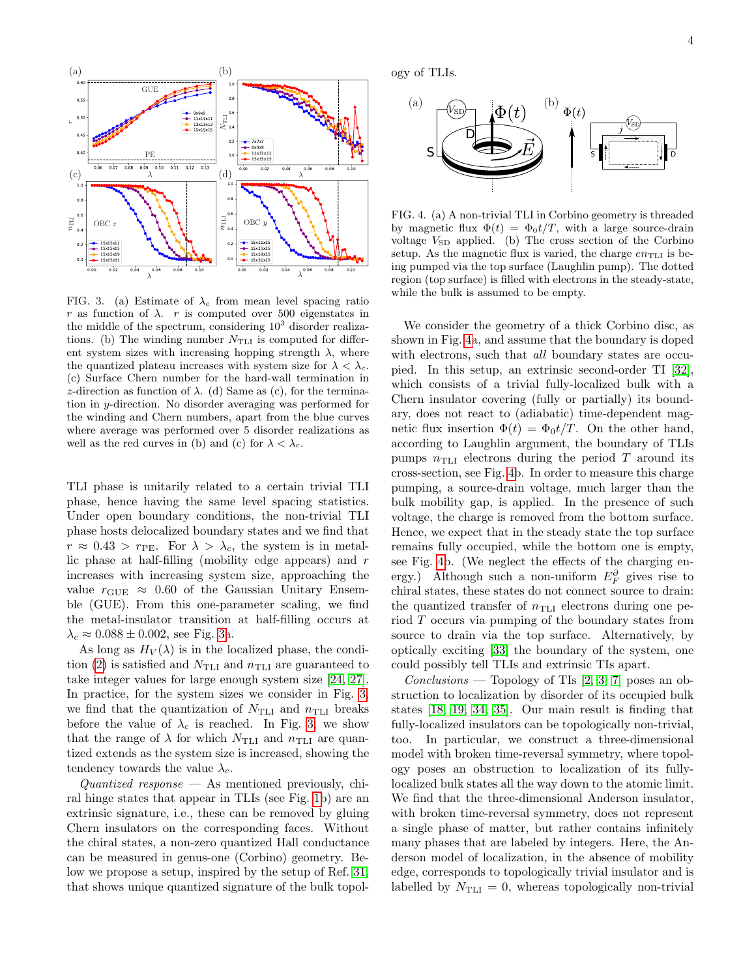

<span id="page-3-0"></span>FIG. 3. (a) Estimate of  $\lambda_c$  from mean level spacing ratio  $r$  as function of  $\lambda$ .  $r$  is computed over 500 eigenstates in the middle of the spectrum, considering  $10<sup>3</sup>$  disorder realizations. (b) The winding number  $N_{\text{TLI}}$  is computed for different system sizes with increasing hopping strength  $\lambda$ , where the quantized plateau increases with system size for  $\lambda < \lambda_c$ . (c) Surface Chern number for the hard-wall termination in z-direction as function of  $\lambda$ . (d) Same as (c), for the termination in y-direction. No disorder averaging was performed for the winding and Chern numbers, apart from the blue curves where average was performed over 5 disorder realizations as well as the red curves in (b) and (c) for  $\lambda < \lambda_c$ .

TLI phase is unitarily related to a certain trivial TLI phase, hence having the same level spacing statistics. Under open boundary conditions, the non-trivial TLI phase hosts delocalized boundary states and we find that  $r \approx 0.43 > r_{\text{PE}}$ . For  $\lambda > \lambda_c$ , the system is in metallic phase at half-filling (mobility edge appears) and r increases with increasing system size, approaching the value  $r_{\text{GUE}} \approx 0.60$  of the Gaussian Unitary Ensemble (GUE). From this one-parameter scaling, we find the metal-insulator transition at half-filling occurs at  $\lambda_c \approx 0.088 \pm 0.002$ , see Fig. [3a](#page-3-0).

As long as  $H_V(\lambda)$  is in the localized phase, the condi-tion [\(2\)](#page-2-0) is satisfied and  $N_{\text{TLI}}$  and  $n_{\text{TLI}}$  are guaranteed to take integer values for large enough system size [\[24,](#page-4-18) [27\]](#page-4-21). In practice, for the system sizes we consider in Fig. [3,](#page-3-0) we find that the quantization of  $N_{\text{TLI}}$  and  $n_{\text{TLI}}$  breaks before the value of  $\lambda_c$  is reached. In Fig. [3,](#page-3-0) we show that the range of  $\lambda$  for which  $N_{\text{TLI}}$  and  $n_{\text{TLI}}$  are quantized extends as the system size is increased, showing the tendency towards the value  $\lambda_c$ .

 $Quantized$  response  $-$  As mentioned previously, chiral hinge states that appear in TLIs (see Fig. [1b](#page-0-0)) are an extrinsic signature, i.e., these can be removed by gluing Chern insulators on the corresponding faces. Without the chiral states, a non-zero quantized Hall conductance can be measured in genus-one (Corbino) geometry. Below we propose a setup, inspired by the setup of Ref. [31,](#page-4-25) that shows unique quantized signature of the bulk topology of TLIs.



<span id="page-3-1"></span>FIG. 4. (a) A non-trivial TLI in Corbino geometry is threaded by magnetic flux  $\Phi(t) = \Phi_0 t/T$ , with a large source-drain voltage  $V_{SD}$  applied. (b) The cross section of the Corbino setup. As the magnetic flux is varied, the charge  $en_{TLI}$  is being pumped via the top surface (Laughlin pump). The dotted region (top surface) is filled with electrons in the steady-state, while the bulk is assumed to be empty.

We consider the geometry of a thick Corbino disc, as shown in Fig. [4a](#page-3-1), and assume that the boundary is doped with electrons, such that *all* boundary states are occupied. In this setup, an extrinsic second-order TI [\[32\]](#page-4-26), which consists of a trivial fully-localized bulk with a Chern insulator covering (fully or partially) its boundary, does not react to (adiabatic) time-dependent magnetic flux insertion  $\Phi(t) = \Phi_0 t/T$ . On the other hand, according to Laughlin argument, the boundary of TLIs pumps  $n_{\text{TLI}}$  electrons during the period T around its cross-section, see Fig. [4b](#page-3-1). In order to measure this charge pumping, a source-drain voltage, much larger than the bulk mobility gap, is applied. In the presence of such voltage, the charge is removed from the bottom surface. Hence, we expect that in the steady state the top surface remains fully occupied, while the bottom one is empty, see Fig. [4b](#page-3-1). (We neglect the effects of the charging energy.) Although such a non-uniform  $E_F^{\partial}$  gives rise to chiral states, these states do not connect source to drain: the quantized transfer of  $n_{\text{TLI}}$  electrons during one period T occurs via pumping of the boundary states from source to drain via the top surface. Alternatively, by optically exciting [\[33\]](#page-4-27) the boundary of the system, one could possibly tell TLIs and extrinsic TIs apart.

 $Conclusions$  — Topology of TIs [\[2,](#page-4-1) [3,](#page-4-28) [7\]](#page-4-4) poses an obstruction to localization by disorder of its occupied bulk states [\[18,](#page-4-12) [19,](#page-4-13) [34,](#page-4-29) [35\]](#page-4-30). Our main result is finding that fully-localized insulators can be topologically non-trivial, too. In particular, we construct a three-dimensional model with broken time-reversal symmetry, where topology poses an obstruction to localization of its fullylocalized bulk states all the way down to the atomic limit. We find that the three-dimensional Anderson insulator, with broken time-reversal symmetry, does not represent a single phase of matter, but rather contains infinitely many phases that are labeled by integers. Here, the Anderson model of localization, in the absence of mobility edge, corresponds to topologically trivial insulator and is labelled by  $N_{\text{TLI}} = 0$ , whereas topologically non-trivial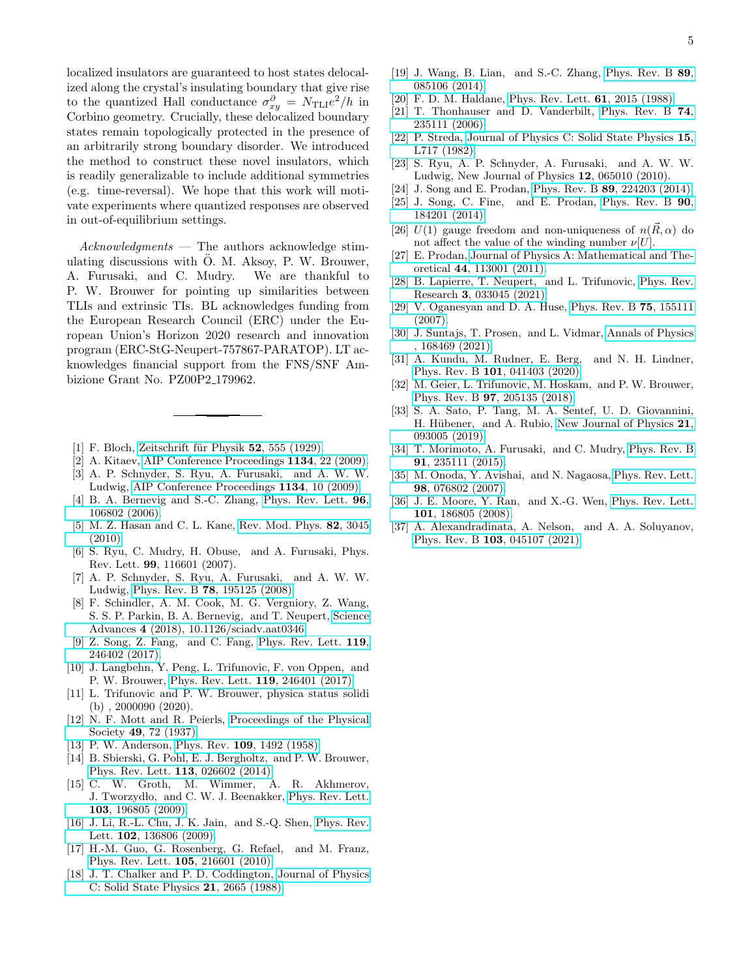localized insulators are guaranteed to host states delocalized along the crystal's insulating boundary that give rise to the quantized Hall conductance  $\sigma_{xy}^{\partial} = N_{\text{TLI}}e^2/h$  in Corbino geometry. Crucially, these delocalized boundary states remain topologically protected in the presence of an arbitrarily strong boundary disorder. We introduced the method to construct these novel insulators, which is readily generalizable to include additional symmetries (e.g. time-reversal). We hope that this work will motivate experiments where quantized responses are observed in out-of-equilibrium settings.

 $Acknowledgments$  — The authors acknowledge stimulating discussions with  $O.$  M. Aksoy,  $P.$  W. Brouwer, A. Furusaki, and C. Mudry. We are thankful to P. W. Brouwer for pointing up similarities between TLIs and extrinsic TIs. BL acknowledges funding from the European Research Council (ERC) under the European Union's Horizon 2020 research and innovation program (ERC-StG-Neupert-757867-PARATOP). LT acknowledges financial support from the FNS/SNF Ambizione Grant No. PZ00P2 179962.

- <span id="page-4-0"></span>[1] F. Bloch, Zeitschrift für Physik 52, 555 (1929).
- <span id="page-4-1"></span>[2] A. Kitaev, [AIP Conference Proceedings](http://dx.doi.org/10.1063/1.3149495) 1134, 22 (2009).
- <span id="page-4-28"></span>[3] A. P. Schnyder, S. Ryu, A. Furusaki, and A. W. W. Ludwig, [AIP Conference Proceedings](http://dx.doi.org/10.1063/1.3149481) 1134, 10 (2009).
- [4] B. A. Bernevig and S.-C. Zhang, [Phys. Rev. Lett.](http://dx.doi.org/10.1103/PhysRevLett.96.106802) **96**, [106802 \(2006\).](http://dx.doi.org/10.1103/PhysRevLett.96.106802)
- <span id="page-4-2"></span>[5] M. Z. Hasan and C. L. Kane, [Rev. Mod. Phys.](http://dx.doi.org/10.1103/RevModPhys.82.3045) 82, 3045 [\(2010\).](http://dx.doi.org/10.1103/RevModPhys.82.3045)
- <span id="page-4-3"></span>[6] S. Ryu, C. Mudry, H. Obuse, and A. Furusaki, Phys. Rev. Lett. 99, 116601 (2007).
- <span id="page-4-4"></span>[7] A. P. Schnyder, S. Ryu, A. Furusaki, and A. W. W. Ludwig, Phys. Rev. B 78[, 195125 \(2008\).](http://dx.doi.org/10.1103/PhysRevB.78.195125)
- <span id="page-4-5"></span>[8] F. Schindler, A. M. Cook, M. G. Vergniory, Z. Wang, S. S. P. Parkin, B. A. Bernevig, and T. Neupert, [Science](http://dx.doi.org/ 10.1126/sciadv.aat0346) Advances 4 [\(2018\), 10.1126/sciadv.aat0346.](http://dx.doi.org/ 10.1126/sciadv.aat0346)
- [9] Z. Song, Z. Fang, and C. Fang, [Phys. Rev. Lett.](http://dx.doi.org/ 10.1103/PhysRevLett.119.246402) 119, [246402 \(2017\).](http://dx.doi.org/ 10.1103/PhysRevLett.119.246402)
- [10] J. Langbehn, Y. Peng, L. Trifunovic, F. von Oppen, and P. W. Brouwer, [Phys. Rev. Lett.](http://dx.doi.org/ 10.1103/PhysRevLett.119.246401) 119, 246401 (2017).
- <span id="page-4-6"></span>[11] L. Trifunovic and P. W. Brouwer, physica status solidi (b) , 2000090 (2020).
- <span id="page-4-7"></span>[12] N. F. Mott and R. Peierls, [Proceedings of the Physical](http://dx.doi.org/10.1088/0959-5309/49/4s/308) Society 49[, 72 \(1937\).](http://dx.doi.org/10.1088/0959-5309/49/4s/308)
- <span id="page-4-8"></span>[13] P. W. Anderson, Phys. Rev. **109**[, 1492 \(1958\).](http://dx.doi.org/10.1103/PhysRev.109.1492)
- <span id="page-4-9"></span>[14] B. Sbierski, G. Pohl, E. J. Bergholtz, and P. W. Brouwer, [Phys. Rev. Lett.](http://dx.doi.org/10.1103/PhysRevLett.113.026602) 113, 026602 (2014).
- <span id="page-4-10"></span>[15] C. W. Groth, M. Wimmer, A. R. Akhmerov, J. Tworzydło, and C. W. J. Beenakker, [Phys. Rev. Lett.](http://dx.doi.org/10.1103/PhysRevLett.103.196805) 103[, 196805 \(2009\).](http://dx.doi.org/10.1103/PhysRevLett.103.196805)
- [16] J. Li, R.-L. Chu, J. K. Jain, and S.-Q. Shen, [Phys. Rev.](http://dx.doi.org/10.1103/PhysRevLett.102.136806) Lett. 102[, 136806 \(2009\).](http://dx.doi.org/10.1103/PhysRevLett.102.136806)
- <span id="page-4-11"></span>[17] H.-M. Guo, G. Rosenberg, G. Refael, and M. Franz, [Phys. Rev. Lett.](http://dx.doi.org/ 10.1103/PhysRevLett.105.216601) 105, 216601 (2010).
- <span id="page-4-12"></span>[18] J. T. Chalker and P. D. Coddington, [Journal of Physics](http://dx.doi.org/10.1088/0022-3719/21/14/008) [C: Solid State Physics](http://dx.doi.org/10.1088/0022-3719/21/14/008) 21, 2665 (1988).
- <span id="page-4-13"></span>[19] J. Wang, B. Lian, and S.-C. Zhang, [Phys. Rev. B](http://dx.doi.org/10.1103/PhysRevB.89.085106) 89, [085106 \(2014\).](http://dx.doi.org/10.1103/PhysRevB.89.085106)
- <span id="page-4-14"></span>[20] F. D. M. Haldane, [Phys. Rev. Lett.](http://dx.doi.org/10.1103/PhysRevLett.61.2015) 61, 2015 (1988).
- <span id="page-4-15"></span>[21] T. Thonhauser and D. Vanderbilt, [Phys. Rev. B](http://dx.doi.org/10.1103/PhysRevB.74.235111) 74, [235111 \(2006\).](http://dx.doi.org/10.1103/PhysRevB.74.235111)
- <span id="page-4-16"></span>[22] P. Streda, [Journal of Physics C: Solid State Physics](http://dx.doi.org/10.1088/0022-3719/15/22/005) 15, [L717 \(1982\).](http://dx.doi.org/10.1088/0022-3719/15/22/005)
- <span id="page-4-17"></span>[23] S. Ryu, A. P. Schnyder, A. Furusaki, and A. W. W. Ludwig, New Journal of Physics 12, 065010 (2010).
- <span id="page-4-18"></span>[24] J. Song and E. Prodan, Phys. Rev. B **89**[, 224203 \(2014\).](http://dx.doi.org/10.1103/PhysRevB.89.224203)
- <span id="page-4-19"></span>[25] J. Song, C. Fine, and E. Prodan, [Phys. Rev. B](http://dx.doi.org/10.1103/PhysRevB.90.184201) 90, [184201 \(2014\).](http://dx.doi.org/10.1103/PhysRevB.90.184201)
- <span id="page-4-20"></span>[26]  $U(1)$  gauge freedom and non-uniqueness of  $n(\vec{R}, \alpha)$  do not affect the value of the winding number  $\nu[U]$ .
- <span id="page-4-21"></span>[27] E. Prodan, [Journal of Physics A: Mathematical and The](http://dx.doi.org/10.1088/1751-8113/44/11/113001)oretical 44[, 113001 \(2011\).](http://dx.doi.org/10.1088/1751-8113/44/11/113001)
- <span id="page-4-22"></span>[28] B. Lapierre, T. Neupert, and L. Trifunovic, [Phys. Rev.](http://dx.doi.org/10.1103/PhysRevResearch.3.033045) Research 3[, 033045 \(2021\).](http://dx.doi.org/10.1103/PhysRevResearch.3.033045)
- <span id="page-4-23"></span>[29] V. Oganesyan and D. A. Huse, [Phys. Rev. B](http://dx.doi.org/10.1103/PhysRevB.75.155111) 75, 155111 [\(2007\).](http://dx.doi.org/10.1103/PhysRevB.75.155111)
- <span id="page-4-24"></span>[30] J. Šuntajs, T. Prosen, and L. Vidmar, [Annals of Physics](http://dx.doi.org/https://doi.org/10.1016/j.aop.2021.168469) [, 168469 \(2021\).](http://dx.doi.org/https://doi.org/10.1016/j.aop.2021.168469)
- <span id="page-4-25"></span>[31] A. Kundu, M. Rudner, E. Berg, and N. H. Lindner, Phys. Rev. B 101[, 041403 \(2020\).](http://dx.doi.org/ 10.1103/PhysRevB.101.041403)
- <span id="page-4-26"></span>[32] M. Geier, L. Trifunovic, M. Hoskam, and P. W. Brouwer, Phys. Rev. B 97[, 205135 \(2018\).](http://dx.doi.org/ 10.1103/PhysRevB.97.205135)
- <span id="page-4-27"></span>[33] S. A. Sato, P. Tang, M. A. Sentef, U. D. Giovannini, H. Hübener, and A. Rubio, [New Journal of Physics](http://dx.doi.org/ 10.1088/1367-2630/ab3acf) 21, [093005 \(2019\).](http://dx.doi.org/ 10.1088/1367-2630/ab3acf)
- <span id="page-4-29"></span>[34] T. Morimoto, A. Furusaki, and C. Mudry, [Phys. Rev. B](http://dx.doi.org/10.1103/PhysRevB.91.235111) 91[, 235111 \(2015\).](http://dx.doi.org/10.1103/PhysRevB.91.235111)
- <span id="page-4-30"></span>[35] M. Onoda, Y. Avishai, and N. Nagaosa, [Phys. Rev. Lett.](http://dx.doi.org/10.1103/PhysRevLett.98.076802) 98[, 076802 \(2007\).](http://dx.doi.org/10.1103/PhysRevLett.98.076802)
- <span id="page-4-31"></span>[36] J. E. Moore, Y. Ran, and X.-G. Wen, [Phys. Rev. Lett.](http://dx.doi.org/10.1103/PhysRevLett.101.186805) 101[, 186805 \(2008\).](http://dx.doi.org/10.1103/PhysRevLett.101.186805)
- <span id="page-4-32"></span>[37] A. Alexandradinata, A. Nelson, and A. A. Soluyanov, Phys. Rev. B 103[, 045107 \(2021\).](http://dx.doi.org/10.1103/PhysRevB.103.045107)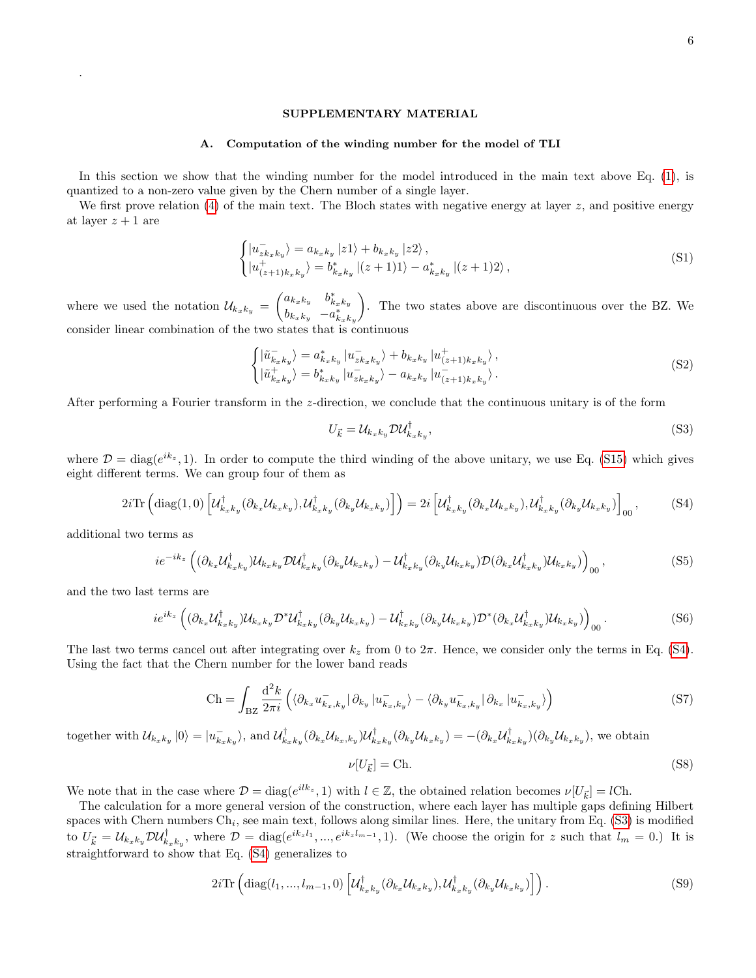#### SUPPLEMENTARY MATERIAL

### <span id="page-5-0"></span>A. Computation of the winding number for the model of TLI

In this section we show that the winding number for the model introduced in the main text above Eq. [\(1\)](#page-1-1), is quantized to a non-zero value given by the Chern number of a single layer.

We first prove relation  $(4)$  of the main text. The Bloch states with negative energy at layer z, and positive energy at layer  $z + 1$  are

$$
\begin{cases} |u_{z k_x k_y}^{-}\rangle = a_{k_x k_y} |z1\rangle + b_{k_x k_y} |z2\rangle, \\ |u_{(z+1) k_x k_y}^{+}\rangle = b_{k_x k_y}^{*} |(z+1)1\rangle - a_{k_x k_y}^{*} |(z+1)2\rangle, \end{cases}
$$
(S1)

where we used the notation  $\mathcal{U}_{k_x k_y} = \begin{pmatrix} a_{k_x k_y} & b_{k_x k_y}^* \ b_{k_x k_y} & -a_{k_x k_y}^* \end{pmatrix}$  $b_{k_x k_y} - a_{k_x k_y}^*$  . The two states above are discontinuous over the BZ. We consider linear combination of the two states that is continuous

$$
\begin{cases} |\tilde{u}_{k_{x}k_{y}}^{\perp}\rangle = a_{k_{x}k_{y}}^{*} |u_{zk_{x}k_{y}}^{\perp}\rangle + b_{k_{x}k_{y}} |u_{(z+1)k_{x}k_{y}}^{\perp}\rangle, \\ |\tilde{u}_{k_{x}k_{y}}^{\perp}\rangle = b_{k_{x}k_{y}}^{*} |u_{zk_{x}k_{y}}^{\perp}\rangle - a_{k_{x}k_{y}} |u_{(z+1)k_{x}k_{y}}^{\perp}\rangle. \end{cases} (S2)
$$

After performing a Fourier transform in the z-direction, we conclude that the continuous unitary is of the form

$$
U_{\vec{k}} = \mathcal{U}_{k_x k_y} \mathcal{D} \mathcal{U}_{k_x k_y}^{\dagger},\tag{S3}
$$

where  $\mathcal{D} = \text{diag}(e^{ik_z}, 1)$ . In order to compute the third winding of the above unitary, we use Eq. [\(S15\)](#page-6-1) which gives eight different terms. We can group four of them as

$$
2i\mathrm{Tr}\left(\mathrm{diag}(1,0)\left[\mathcal{U}_{k_xk_y}^{\dagger}(\partial_{k_x}\mathcal{U}_{k_xk_y}),\mathcal{U}_{k_xk_y}^{\dagger}(\partial_{k_y}\mathcal{U}_{k_xk_y})\right]\right)=2i\left[\mathcal{U}_{k_xk_y}^{\dagger}(\partial_{k_x}\mathcal{U}_{k_xk_y}),\mathcal{U}_{k_xk_y}^{\dagger}(\partial_{k_y}\mathcal{U}_{k_xk_y})\right]_{00},\tag{S4}
$$

additional two terms as

.

$$
ie^{-ik_z}\left( (\partial_{k_x} \mathcal{U}_{k_x k_y}^\dagger) \mathcal{U}_{k_x k_y} \mathcal{D} \mathcal{U}_{k_x k_y}^\dagger (\partial_{k_y} \mathcal{U}_{k_x k_y}) - \mathcal{U}_{k_x k_y}^\dagger (\partial_{k_y} \mathcal{U}_{k_x k_y}) \mathcal{D} (\partial_{k_x} \mathcal{U}_{k_x k_y}^\dagger) \mathcal{U}_{k_x k_y}) \right)_{00},\tag{S5}
$$

and the two last terms are

$$
ie^{ik_z}\left((\partial_{k_x}\mathcal{U}_{k_xk_y}^\dagger)\mathcal{U}_{k_xk_y}\mathcal{D}^*\mathcal{U}_{k_xk_y}^\dagger(\partial_{k_y}\mathcal{U}_{k_xk_y})-\mathcal{U}_{k_xk_y}^\dagger(\partial_{k_y}\mathcal{U}_{k_xk_y})\mathcal{D}^*(\partial_{k_x}\mathcal{U}_{k_xk_y}^\dagger)\mathcal{U}_{k_xk_y})\right)_{00}.
$$
\n(S6)

The last two terms cancel out after integrating over  $k_z$  from 0 to  $2\pi$ . Hence, we consider only the terms in Eq. [\(S4\)](#page-2-2). Using the fact that the Chern number for the lower band reads

$$
\text{Ch} = \int_{\text{BZ}} \frac{\mathrm{d}^2 k}{2\pi i} \left( \langle \partial_{k_x} u_{k_x, k_y} \vert \partial_{k_y} \vert u_{k_x, k_y} \rangle - \langle \partial_{k_y} u_{k_x, k_y} \vert \partial_{k_x} \vert u_{k_x, k_y} \rangle \right) \tag{S7}
$$

together with  $\mathcal{U}_{k_xk_y}|0\rangle = |u_{k_xk_y}^{\dagger}\rangle$ , and  $\mathcal{U}_{k_xk_y}^{\dagger}(\partial_{k_x}\mathcal{U}_{k_x,k_y})\mathcal{U}_{k_xk_y}^{\dagger}(\partial_{k_y}\mathcal{U}_{k_xk_y}) = -(\partial_{k_x}\mathcal{U}_{k_xk_y}^{\dagger})(\partial_{k_y}\mathcal{U}_{k_xk_y}),$  we obtain

$$
\nu[U_{\vec{k}}] = \text{Ch.} \tag{S8}
$$

We note that in the case where  $\mathcal{D} = \text{diag}(e^{ilk_z}, 1)$  with  $l \in \mathbb{Z}$ , the obtained relation becomes  $\nu[U_{\vec{k}}] = l\text{Ch}$ .

The calculation for a more general version of the construction, where each layer has multiple gaps defining Hilbert spaces with Chern numbers Ch<sub>i</sub>, see main text, follows along similar lines. Here, the unitary from Eq. [\(S3\)](#page-2-3) is modified to  $U_{\vec{k}} = \mathcal{U}_{k_x k_y} \mathcal{D} \mathcal{U}_{k_x k_y}^{\dagger}$ , where  $\mathcal{D} = \text{diag}(e^{ik_z l_1}, ..., e^{ik_z l_{m-1}}, 1)$ . (We choose the origin for z such that  $l_m = 0$ .) It is straightforward to show that Eq. [\(S4\)](#page-2-2) generalizes to

$$
2i\mathrm{Tr}\left(\mathrm{diag}(l_1,\ldots,l_{m-1},0)\left[\mathcal{U}_{k_xk_y}^{\dagger}(\partial_{k_x}\mathcal{U}_{k_xk_y}),\mathcal{U}_{k_xk_y}^{\dagger}(\partial_{k_y}\mathcal{U}_{k_xk_y})\right]\right).
$$
\n(S9)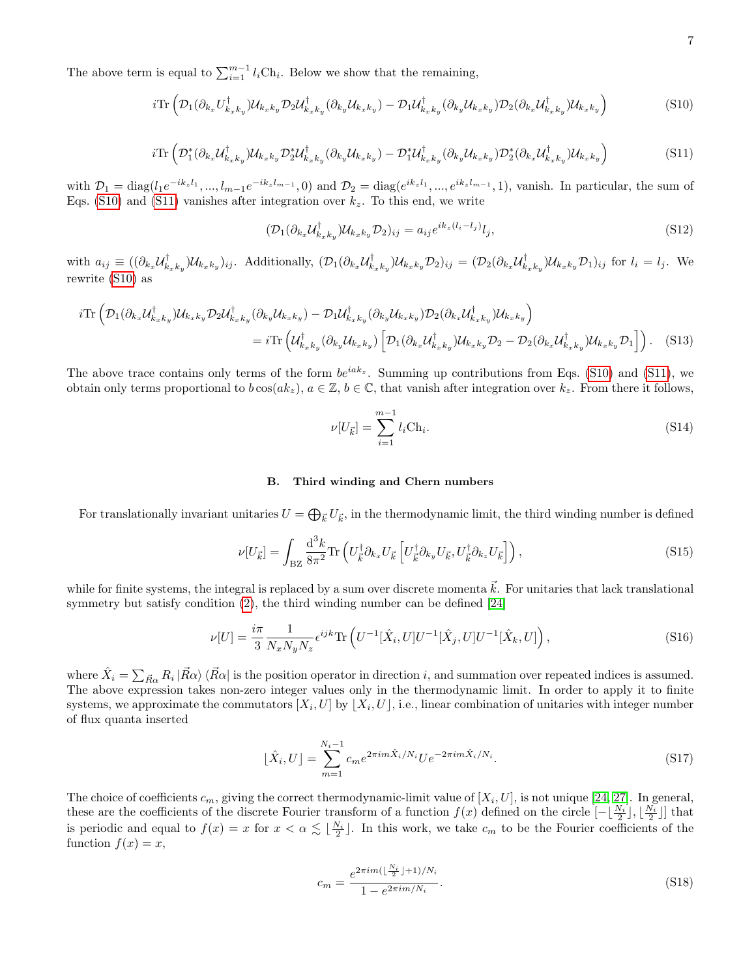The above term is equal to  $\sum_{i=1}^{m-1} l_i \text{Ch}_i$ . Below we show that the remaining,

<span id="page-6-2"></span>
$$
i\text{Tr}\left(\mathcal{D}_1(\partial_{k_x}U_{k_xk_y}^\dagger)\mathcal{U}_{k_xk_y}\mathcal{D}_2\mathcal{U}_{k_xk_y}^\dagger(\partial_{k_y}\mathcal{U}_{k_xk_y})-\mathcal{D}_1\mathcal{U}_{k_xk_y}^\dagger(\partial_{k_y}\mathcal{U}_{k_xk_y})\mathcal{D}_2(\partial_{k_x}\mathcal{U}_{k_xk_y}^\dagger)\mathcal{U}_{k_xk_y}\right) \tag{S10}
$$

<span id="page-6-3"></span>
$$
i\text{Tr}\left(\mathcal{D}_1^*(\partial_{k_x}\mathcal{U}_{k_xk_y}^\dagger)\mathcal{U}_{k_xk_y}\mathcal{D}_2^*\mathcal{U}_{k_xk_y}^\dagger(\partial_{k_y}\mathcal{U}_{k_xk_y})-\mathcal{D}_1^*\mathcal{U}_{k_xk_y}^\dagger(\partial_{k_y}\mathcal{U}_{k_xk_y})\mathcal{D}_2^*(\partial_{k_x}\mathcal{U}_{k_xk_y}^\dagger)\mathcal{U}_{k_xk_y}\right) \tag{S11}
$$

with  $D_1 = \text{diag}(l_1 e^{-ik_z l_1}, ..., l_{m-1} e^{-ik_z l_{m-1}}, 0)$  and  $D_2 = \text{diag}(e^{ik_z l_1}, ..., e^{ik_z l_{m-1}}, 1)$ , vanish. In particular, the sum of Eqs. [\(S10\)](#page-6-2) and [\(S11\)](#page-6-3) vanishes after integration over  $k_z$ . To this end, we write

$$
(\mathcal{D}_1(\partial_{k_x}\mathcal{U}_{k_xk_y}^\dagger)\mathcal{U}_{k_xk_y}\mathcal{D}_2)_{ij} = a_{ij}e^{ik_z(l_i-l_j)}l_j,
$$
\n(S12)

with  $a_{ij} \equiv ((\partial_{k_x} \mathcal{U}_{k_x k_y}^{\dagger}) \mathcal{U}_{k_x k_y})_{ij}$ . Additionally,  $(\mathcal{D}_1(\partial_{k_x} \mathcal{U}_{k_x k_y}^{\dagger}) \mathcal{U}_{k_x k_y} \mathcal{D}_2)_{ij} = (\mathcal{D}_2(\partial_{k_x} \mathcal{U}_{k_x k_y}^{\dagger}) \mathcal{U}_{k_x k_y} \mathcal{D}_1)_{ij}$  for  $l_i = l_j$ . We rewrite [\(S10\)](#page-6-2) as

$$
i\text{Tr}\left(\mathcal{D}_{1}(\partial_{k_{x}}\mathcal{U}_{k_{x}k_{y}}^{\dagger})\mathcal{U}_{k_{x}k_{y}}\mathcal{D}_{2}\mathcal{U}_{k_{x}k_{y}}^{\dagger}(\partial_{k_{y}}\mathcal{U}_{k_{x}k_{y}})-\mathcal{D}_{1}\mathcal{U}_{k_{x}k_{y}}^{\dagger}(\partial_{k_{y}}\mathcal{U}_{k_{x}k_{y}})\mathcal{D}_{2}(\partial_{k_{x}}\mathcal{U}_{k_{x}k_{y}}^{\dagger})\mathcal{U}_{k_{x}k_{y}}\right) =i\text{Tr}\left(\mathcal{U}_{k_{x}k_{y}}^{\dagger}(\partial_{k_{y}}\mathcal{U}_{k_{x}k_{y}})\left[\mathcal{D}_{1}(\partial_{k_{x}}\mathcal{U}_{k_{x}k_{y}}^{\dagger})\mathcal{U}_{k_{x}k_{y}}\mathcal{D}_{2}-\mathcal{D}_{2}(\partial_{k_{x}}\mathcal{U}_{k_{x}k_{y}}^{\dagger})\mathcal{U}_{k_{x}k_{y}}\mathcal{D}_{1}\right]\right).
$$
(S13)

The above trace contains only terms of the form  $be^{iak_z}$ . Summing up contributions from Eqs. [\(S10\)](#page-6-2) and [\(S11\)](#page-6-3), we obtain only terms proportional to  $b \cos(ak_z)$ ,  $a \in \mathbb{Z}$ ,  $b \in \mathbb{C}$ , that vanish after integration over  $k_z$ . From there it follows,

$$
\nu[U_{\vec{k}}] = \sum_{i=1}^{m-1} l_i \text{Ch}_i.
$$
\n(S14)

#### <span id="page-6-0"></span>B. Third winding and Chern numbers

For translationally invariant unitaries  $U = \bigoplus_{\vec{k}} U_{\vec{k}}$ , in the thermodynamic limit, the third winding number is defined

<span id="page-6-1"></span>
$$
\nu[U_{\vec{k}}] = \int_{\text{BZ}} \frac{\mathrm{d}^3 k}{8\pi^2} \text{Tr}\left(U_{\vec{k}}^\dagger \partial_{k_x} U_{\vec{k}} \left[U_{\vec{k}}^\dagger \partial_{k_y} U_{\vec{k}}, U_{\vec{k}}^\dagger \partial_{k_z} U_{\vec{k}}\right]\right),\tag{S15}
$$

while for finite systems, the integral is replaced by a sum over discrete momenta  $\vec{k}$ . For unitaries that lack translational symmetry but satisfy condition [\(2\)](#page-2-0), the third winding number can be defined [\[24\]](#page-4-18)

<span id="page-6-5"></span>
$$
\nu[U] = \frac{i\pi}{3} \frac{1}{N_x N_y N_z} \epsilon^{ijk} \text{Tr}\left( U^{-1}[\hat{X}_i, U] U^{-1}[\hat{X}_j, U] U^{-1}[\hat{X}_k, U] \right),\tag{S16}
$$

where  $\hat{X}_i = \sum_{\vec{R}\alpha} R_i |\vec{R}\alpha\rangle \langle \vec{R}\alpha|$  is the position operator in direction i, and summation over repeated indices is assumed. The above expression takes non-zero integer values only in the thermodynamic limit. In order to apply it to finite systems, we approximate the commutators  $[X_i, U]$  by  $[X_i, U]$ , i.e., linear combination of unitaries with integer number of flux quanta inserted

<span id="page-6-4"></span>
$$
\left[\hat{X}_i, U\right] = \sum_{m=1}^{N_i - 1} c_m e^{2\pi i m \hat{X}_i / N_i} U e^{-2\pi i m \hat{X}_i / N_i}.
$$
\n(S17)

The choice of coefficients  $c_m$ , giving the correct thermodynamic-limit value of  $[X_i, U]$ , is not unique [\[24,](#page-4-18) [27\]](#page-4-21). In general, these are the coefficients of the discrete Fourier transform of a function  $f(x)$  defined on the circle  $\left[-\left\lfloor \frac{N_i}{2} \right\rfloor, \left\lfloor \frac{N_i}{2} \right\rfloor\right]$  that is periodic and equal to  $f(x) = x$  for  $x < \alpha \leq \lfloor \frac{N_i}{2} \rfloor$ . In this work, we take  $c_m$  to be the Fourier coefficients of the function  $f(x) = x$ ,

$$
c_m = \frac{e^{2\pi im(\lfloor \frac{N_i}{2} \rfloor + 1)/N_i}}{1 - e^{2\pi im/N_i}}.
$$
\n(S18)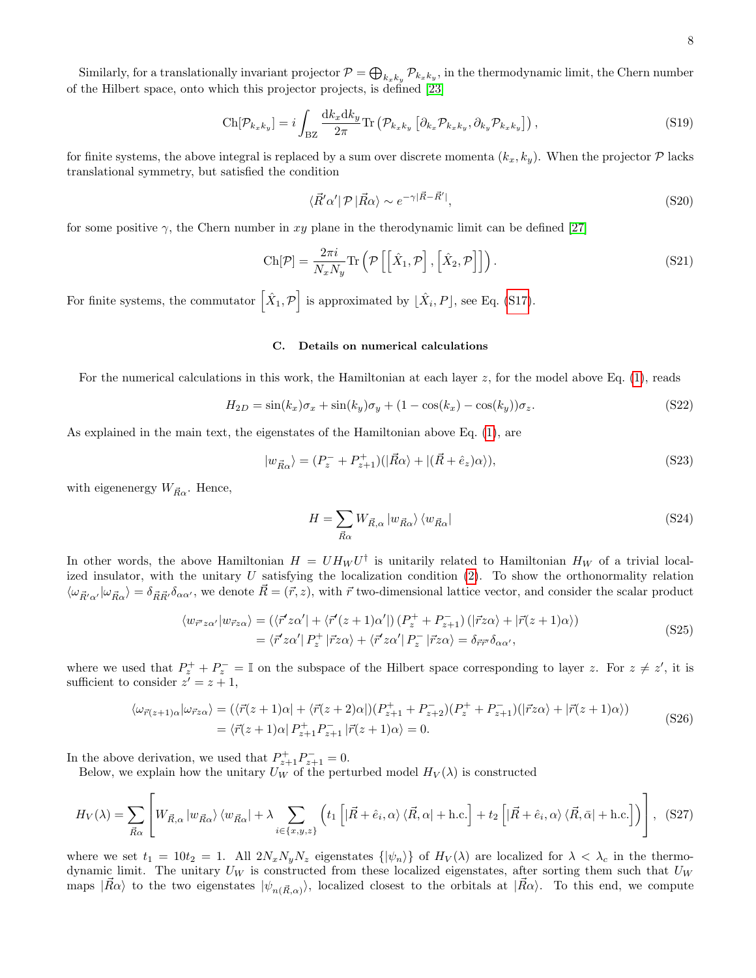Similarly, for a translationally invariant projector  $P = \bigoplus_{k_x k_y} P_{k_x k_y}$ , in the thermodynamic limit, the Chern number of the Hilbert space, onto which this projector projects, is defined [\[23\]](#page-4-17)

$$
\text{Ch}[\mathcal{P}_{k_x k_y}] = i \int_{\text{BZ}} \frac{\mathrm{d}k_x \mathrm{d}k_y}{2\pi} \text{Tr} \left( \mathcal{P}_{k_x k_y} \left[ \partial_{k_x} \mathcal{P}_{k_x k_y}, \partial_{k_y} \mathcal{P}_{k_x k_y} \right] \right), \tag{S19}
$$

for finite systems, the above integral is replaced by a sum over discrete momenta  $(k_x, k_y)$ . When the projector  $\mathcal P$  lacks translational symmetry, but satisfied the condition

$$
\langle \vec{R}' \alpha' | \mathcal{P} | \vec{R} \alpha \rangle \sim e^{-\gamma |\vec{R} - \vec{R}'|},\tag{S20}
$$

for some positive  $\gamma$ , the Chern number in xy plane in the therodynamic limit can be defined [\[27\]](#page-4-21)

$$
\text{Ch}[\mathcal{P}] = \frac{2\pi i}{N_x N_y} \text{Tr}\left(\mathcal{P}\left[\left[\hat{X}_1, \mathcal{P}\right], \left[\hat{X}_2, \mathcal{P}\right]\right]\right). \tag{S21}
$$

For finite systems, the commutator  $\left[\hat{X}_1, \mathcal{P}\right]$  is approximated by  $\left[\hat{X}_i, P\right]$ , see Eq. [\(S17\)](#page-6-4).

## C. Details on numerical calculations

For the numerical calculations in this work, the Hamiltonian at each layer  $z$ , for the model above Eq. [\(1\)](#page-1-1), reads

$$
H_{2D} = \sin(k_x)\sigma_x + \sin(k_y)\sigma_y + (1 - \cos(k_x) - \cos(k_y))\sigma_z.
$$
 (S22)

As explained in the main text, the eigenstates of the Hamiltonian above Eq. [\(1\)](#page-1-1), are

$$
|w_{\vec{R}\alpha}\rangle = (P_z^- + P_{z+1}^+)(|\vec{R}\alpha\rangle + |(\vec{R} + \hat{e}_z)\alpha\rangle),\tag{S23}
$$

with eigenenergy  $W_{\vec{R}\alpha}$ . Hence,

$$
H = \sum_{\vec{R}\alpha} W_{\vec{R},\alpha} |w_{\vec{R}\alpha}\rangle \langle w_{\vec{R}\alpha}|
$$
\n(S24)

In other words, the above Hamiltonian  $H = U H_W U^{\dagger}$  is unitarily related to Hamiltonian  $H_W$  of a trivial localized insulator, with the unitary  $U$  satisfying the localization condition  $(2)$ . To show the orthonormality relation  $\langle \omega_{\vec{R}'\alpha'} | \omega_{\vec{R}\alpha'} \rangle = \delta_{\vec{R}\vec{R}'} \delta_{\alpha\alpha'}$ , we denote  $\vec{R} = (\vec{r}, z)$ , with  $\vec{r}$  two-dimensional lattice vector, and consider the scalar product

$$
\langle w_{\vec{r}'z\alpha'} | w_{\vec{r}z\alpha} \rangle = (\langle \vec{r}' z \alpha' | + \langle \vec{r}' (z+1) \alpha' |) (P_z^+ + P_{z+1}^-) (|\vec{r} z \alpha \rangle + |\vec{r} (z+1) \alpha \rangle)
$$
  
= 
$$
\langle \vec{r}' z \alpha' | P_z^+ | \vec{r} z \alpha \rangle + \langle \vec{r}' z \alpha' | P_z^- | \vec{r} z \alpha \rangle = \delta_{\vec{r} \vec{r}'} \delta_{\alpha \alpha'},
$$
 (S25)

where we used that  $P_z^+ + P_z^- = \mathbb{I}$  on the subspace of the Hilbert space corresponding to layer z. For  $z \neq z'$ , it is sufficient to consider  $z' = z + 1$ ,

$$
\langle \omega_{\vec{r}(z+1)\alpha} | \omega_{\vec{r}z\alpha} \rangle = (\langle \vec{r}(z+1)\alpha | + \langle \vec{r}(z+2)\alpha | \rangle (P_{z+1}^+ + P_{z+2}^-) (P_z^+ + P_{z+1}^-) (|\vec{r}z\alpha \rangle + |\vec{r}(z+1)\alpha \rangle)
$$
  
=\langle \vec{r}(z+1)\alpha | P\_{z+1}^+ P\_{z+1}^- | \vec{r}(z+1)\alpha \rangle = 0. (S26)

In the above derivation, we used that  $P_{z+1}^+ P_{z+1}^- = 0$ .

Below, we explain how the unitary  $U_W$  of the perturbed model  $H_V(\lambda)$  is constructed

<span id="page-7-0"></span>
$$
H_V(\lambda) = \sum_{\vec{R}\alpha} \left[ W_{\vec{R},\alpha} \left| w_{\vec{R}\alpha} \right\rangle \langle w_{\vec{R}\alpha} \right| + \lambda \sum_{i \in \{x,y,z\}} \left( t_1 \left[ \left| \vec{R} + \hat{e}_i, \alpha \right\rangle \langle \vec{R}, \alpha \right| + \text{h.c.} \right] + t_2 \left[ \left| \vec{R} + \hat{e}_i, \alpha \right\rangle \langle \vec{R}, \bar{\alpha} \right| + \text{h.c.} \right] \right), \tag{S27}
$$

where we set  $t_1 = 10t_2 = 1$ . All  $2N_xN_yN_z$  eigenstates  $\{\ket{\psi_n}\}$  of  $H_V(\lambda)$  are localized for  $\lambda < \lambda_c$  in the thermodynamic limit. The unitary  $U_W$  is constructed from these localized eigenstates, after sorting them such that  $U_W$ maps  $|\vec{R}\alpha\rangle$  to the two eigenstates  $|\psi_{n(\vec{R},\alpha)}\rangle$ , localized closest to the orbitals at  $|\vec{R}\alpha\rangle$ . To this end, we compute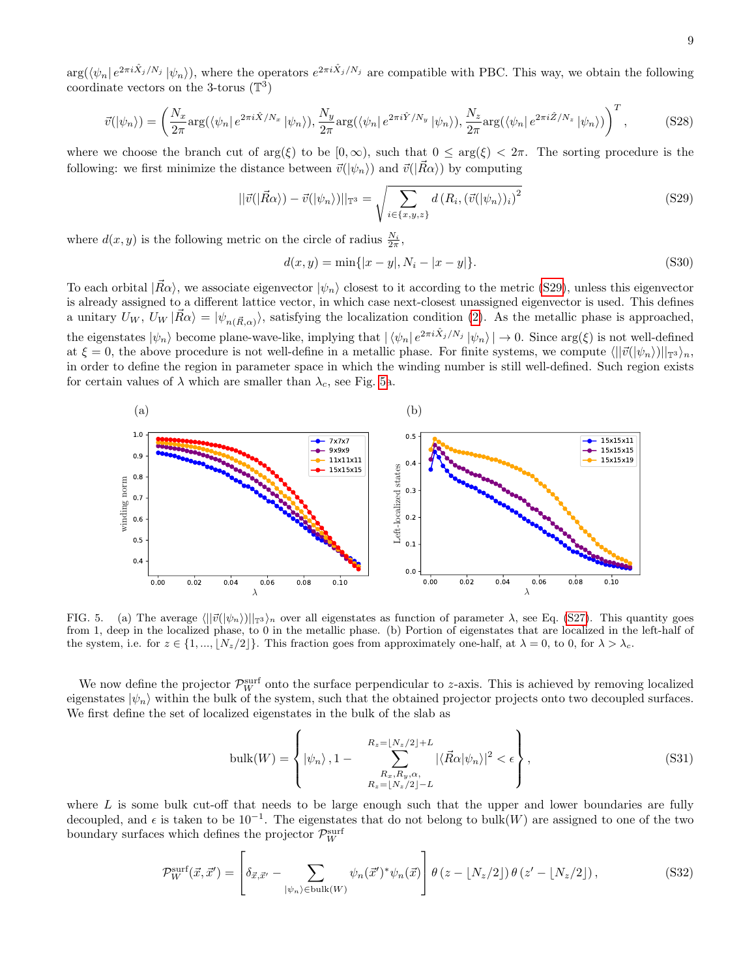$\arg(\langle \psi_n | e^{2\pi i \hat{X}_j/N_j} | \psi_n \rangle)$ , where the operators  $e^{2\pi i \hat{X}_j/N_j}$  are compatible with PBC. This way, we obtain the following coordinate vectors on the 3-torus  $(\mathbb{T}^3)$ 

$$
\vec{v}(|\psi_n\rangle) = \left(\frac{N_x}{2\pi} \arg(\langle \psi_n | e^{2\pi i \hat{X}/N_x} | \psi_n \rangle), \frac{N_y}{2\pi} \arg(\langle \psi_n | e^{2\pi i \hat{Y}/N_y} | \psi_n \rangle), \frac{N_z}{2\pi} \arg(\langle \psi_n | e^{2\pi i \hat{Z}/N_z} | \psi_n \rangle)\right)^T, \tag{S28}
$$

where we choose the branch cut of  $arg(\xi)$  to be  $[0,\infty)$ , such that  $0 \leq arg(\xi) < 2\pi$ . The sorting procedure is the following: we first minimize the distance between  $\vec{v}(|\psi_n\rangle)$  and  $\vec{v}(|\vec{R}\alpha\rangle)$  by computing

<span id="page-8-0"></span>
$$
||\vec{v}(|\vec{R}\alpha\rangle) - \vec{v}(|\psi_n\rangle)||_{\mathbb{T}^3} = \sqrt{\sum_{i \in \{x, y, z\}} d\left(R_i, (\vec{v}(|\psi_n\rangle)_i)^2\right)}
$$
(S29)

where  $d(x, y)$  is the following metric on the circle of radius  $\frac{N_i}{2\pi}$ ,

$$
d(x, y) = \min\{|x - y|, N_i - |x - y|\}.
$$
\n(S30)

To each orbital  $|\vec{Ra}\rangle$ , we associate eigenvector  $|\psi_n\rangle$  closest to it according to the metric [\(S29\)](#page-8-0), unless this eigenvector is already assigned to a different lattice vector, in which case next-closest unassigned eigenvector is used. This defines a unitary  $U_W$ ,  $U_W | \vec{R}\alpha \rangle = | \psi_{n(\vec{R}, \alpha)} \rangle$ , satisfying the localization condition [\(2\)](#page-2-0). As the metallic phase is approached, the eigenstates  $|\psi_n\rangle$  become plane-wave-like, implying that  $|\langle \psi_n | e^{2\pi i \hat{X}_j/N_j} |\psi_n \rangle| \to 0$ . Since  $\arg(\xi)$  is not well-defined at  $\xi = 0$ , the above procedure is not well-define in a metallic phase. For finite systems, we compute  $\langle ||\vec{v}||\psi_n \rangle ||_{\mathbb{T}^3} \rangle_n$ , in order to define the region in parameter space in which the winding number is still well-defined. Such region exists for certain values of  $\lambda$  which are smaller than  $\lambda_c$ , see Fig. [5a](#page-8-1).



<span id="page-8-1"></span>FIG. 5. (a) The average  $\langle ||\vec{v}(\psi_n)||_{\mathbb{T}^3}\rangle_n$  over all eigenstates as function of parameter  $\lambda$ , see Eq. [\(S27\)](#page-7-0). This quantity goes from 1, deep in the localized phase, to 0 in the metallic phase. (b) Portion of eigenstates that are localized in the left-half of the system, i.e. for  $z \in \{1, ..., \lfloor N_z/2 \rfloor\}$ . This fraction goes from approximately one-half, at  $\lambda = 0$ , to 0, for  $\lambda > \lambda_c$ .

We now define the projector  $\mathcal{P}_W^{\text{surf}}$  onto the surface perpendicular to z-axis. This is achieved by removing localized eigenstates  $|\psi_n\rangle$  within the bulk of the system, such that the obtained projector projects onto two decoupled surfaces. We first define the set of localized eigenstates in the bulk of the slab as

$$
\text{bulk}(W) = \left\{ |\psi_n\rangle, 1 - \sum_{\substack{R_x, R_y, \alpha, \\ R_z = \lfloor N_z/2 \rfloor - L}}^{R_z = \lfloor N_z/2 \rfloor + L} |\langle \vec{R}\alpha | \psi_n \rangle|^2 < \epsilon \right\},\tag{S31}
$$

where  $L$  is some bulk cut-off that needs to be large enough such that the upper and lower boundaries are fully decoupled, and  $\epsilon$  is taken to be 10<sup>-1</sup>. The eigenstates that do not belong to bulk(W) are assigned to one of the two boundary surfaces which defines the projector  $\mathcal{P}_W^{\text{surf}}$ 

$$
\mathcal{P}_W^{\text{surf}}(\vec{x}, \vec{x}') = \left[ \delta_{\vec{x}, \vec{x}'} - \sum_{|\psi_n\rangle \in \text{bulk}(W)} \psi_n(\vec{x}')^* \psi_n(\vec{x}) \right] \theta(z - \lfloor N_z/2 \rfloor) \theta(z' - \lfloor N_z/2 \rfloor), \tag{S32}
$$